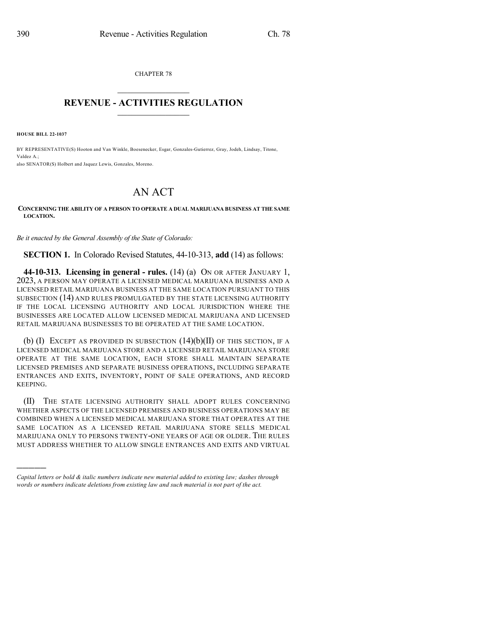CHAPTER 78  $\mathcal{L}_\text{max}$  . The set of the set of the set of the set of the set of the set of the set of the set of the set of the set of the set of the set of the set of the set of the set of the set of the set of the set of the set

## **REVENUE - ACTIVITIES REGULATION**  $\_$   $\_$   $\_$   $\_$   $\_$   $\_$   $\_$   $\_$

**HOUSE BILL 22-1037**

)))))

BY REPRESENTATIVE(S) Hooton and Van Winkle, Boesenecker, Esgar, Gonzales-Gutierrez, Gray, Jodeh, Lindsay, Titone, Valdez A.; also SENATOR(S) Holbert and Jaquez Lewis, Gonzales, Moreno.

## AN ACT

## **CONCERNING THE ABILITY OF A PERSON TO OPERATE A DUAL MARIJUANA BUSINESS AT THE SAME LOCATION.**

*Be it enacted by the General Assembly of the State of Colorado:*

**SECTION 1.** In Colorado Revised Statutes, 44-10-313, **add** (14) as follows:

**44-10-313. Licensing in general - rules.** (14) (a) ON OR AFTER JANUARY 1, 2023, A PERSON MAY OPERATE A LICENSED MEDICAL MARIJUANA BUSINESS AND A LICENSED RETAIL MARIJUANA BUSINESS AT THE SAME LOCATION PURSUANT TO THIS SUBSECTION (14) AND RULES PROMULGATED BY THE STATE LICENSING AUTHORITY IF THE LOCAL LICENSING AUTHORITY AND LOCAL JURISDICTION WHERE THE BUSINESSES ARE LOCATED ALLOW LICENSED MEDICAL MARIJUANA AND LICENSED RETAIL MARIJUANA BUSINESSES TO BE OPERATED AT THE SAME LOCATION.

(b) (I) EXCEPT AS PROVIDED IN SUBSECTION  $(14)(b)(II)$  OF THIS SECTION, IF A LICENSED MEDICAL MARIJUANA STORE AND A LICENSED RETAIL MARIJUANA STORE OPERATE AT THE SAME LOCATION, EACH STORE SHALL MAINTAIN SEPARATE LICENSED PREMISES AND SEPARATE BUSINESS OPERATIONS, INCLUDING SEPARATE ENTRANCES AND EXITS, INVENTORY, POINT OF SALE OPERATIONS, AND RECORD KEEPING.

(II) THE STATE LICENSING AUTHORITY SHALL ADOPT RULES CONCERNING WHETHER ASPECTS OF THE LICENSED PREMISES AND BUSINESS OPERATIONS MAY BE COMBINED WHEN A LICENSED MEDICAL MARIJUANA STORE THAT OPERATES AT THE SAME LOCATION AS A LICENSED RETAIL MARIJUANA STORE SELLS MEDICAL MARIJUANA ONLY TO PERSONS TWENTY-ONE YEARS OF AGE OR OLDER. THE RULES MUST ADDRESS WHETHER TO ALLOW SINGLE ENTRANCES AND EXITS AND VIRTUAL

*Capital letters or bold & italic numbers indicate new material added to existing law; dashes through words or numbers indicate deletions from existing law and such material is not part of the act.*